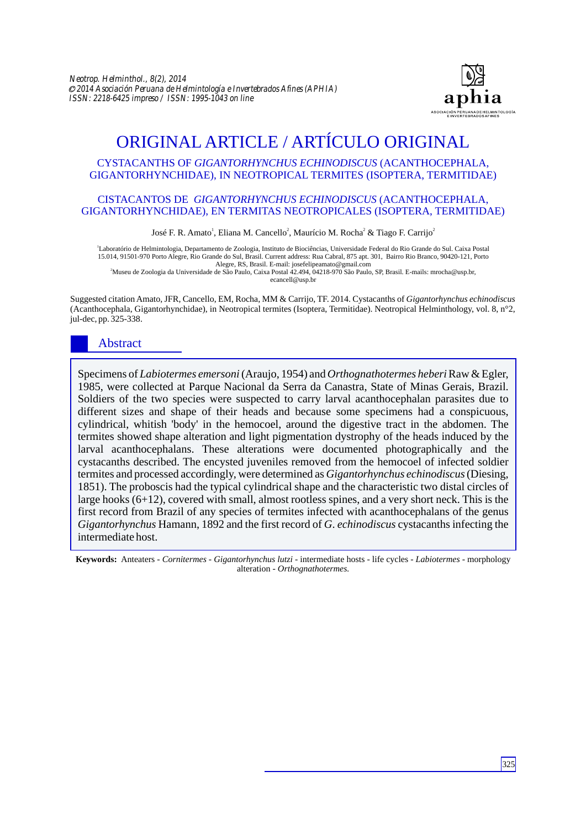

# ORIGINAL ARTICLE / ARTÍCULO ORIGINAL

#### CYSTACANTHS OF *GIGANTORHYNCHUS ECHINODISCUS* (ACANTHOCEPHALA, GIGANTORHYNCHIDAE), IN NEOTROPICAL TERMITES (ISOPTERA, TERMITIDAE)

#### CISTACANTOS DE *GIGANTORHYNCHUS ECHINODISCUS* (ACANTHOCEPHALA, GIGANTORHYNCHIDAE), EN TERMITAS NEOTROPICALES (ISOPTERA, TERMITIDAE)

José F. R. Amato<sup>1</sup>, Eliana M. Cancello<sup>2</sup>, Maurício M. Rocha<sup>2</sup> & Tiago F. Carrijo<sup>2</sup>

1 Laboratório de Helmintologia, Departamento de Zoologia, Instituto de Biociências, Universidade Federal do Rio Grande do Sul. Caixa Postal 15.014, 91501-970 Porto Alegre, Rio Grande do Sul, Brasil. Current address: Rua Cabral, 875 apt. 301, Bairro Rio Branco, 90420-121, Porto Alegre, RS, Brasil. E-mail: josefelipeamato@gmail.com

<sup>2</sup>Museu de Zoologia da Universidade de São Paulo, Caixa Postal 42.494, 04218-970 São Paulo, SP, Brasil. E-mails: mrocha@usp.br, ecancell@usp.br

Suggested citation Amato, JFR, Cancello, EM, Rocha, MM & Carrijo, TF. 2014. Cystacanths of *Gigantorhynchus echinodiscus* (Acanthocephala, Gigantorhynchidae), in Neotropical termites (Isoptera, Termitidae). Neotropical Helminthology, vol. 8, n°2, jul-dec, pp. 325-338.

## Abstract

Specimens of *Labiotermes emersoni*(Araujo, 1954) and *Orthognathotermes heberi* Raw & Egler, 1985, were collected at Parque Nacional da Serra da Canastra, State of Minas Gerais, Brazil. Soldiers of the two species were suspected to carry larval acanthocephalan parasites due to different sizes and shape of their heads and because some specimens had a conspicuous, cylindrical, whitish 'body' in the hemocoel, around the digestive tract in the abdomen. The termites showed shape alteration and light pigmentation dystrophy of the heads induced by the larval acanthocephalans. These alterations were documented photographically and the cystacanths described. The encysted juveniles removed from the hemocoel of infected soldier termites and processed accordingly, were determined as *Gigantorhynchus echinodiscus* (Diesing, 1851). The proboscis had the typical cylindrical shape and the characteristic two distal circles of large hooks (6+12), covered with small, almost rootless spines, and a very short neck. This is the first record from Brazil of any species of termites infected with acanthocephalans of the genus *Gigantorhynchus* Hamann, 1892 and the first record of *G*. *echinodiscus* cystacanths infecting the intermediate host.

**Keywords:** Anteaters - *Cornitermes* - *Gigantorhynchus lutzi* - intermediate hosts - life cycles - *Labiotermes* - morphology alteration - *Orthognathotermes.*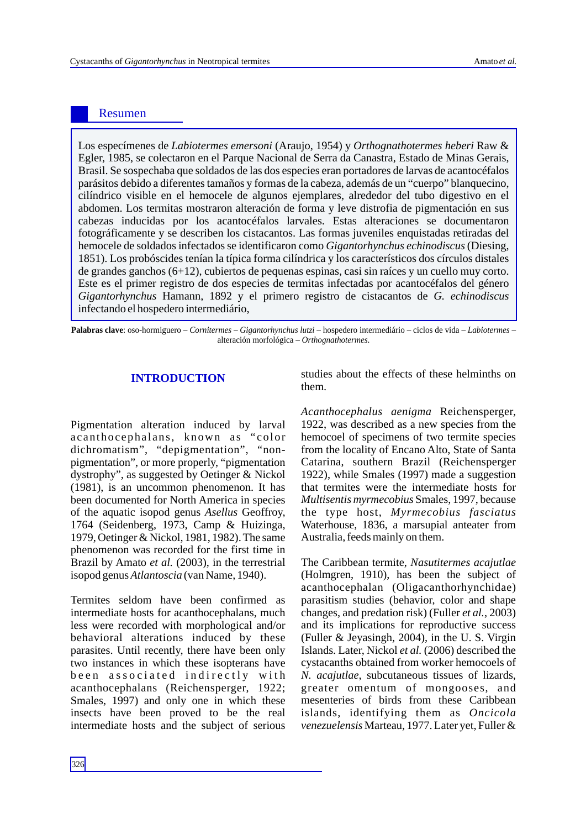### Resumen

Los especímenes de *Labiotermes emersoni* (Araujo, 1954) y *Orthognathotermes heberi* Raw & Egler, 1985, se colectaron en el Parque Nacional de Serra da Canastra, Estado de Minas Gerais, Brasil. Se sospechaba que soldados de las dos especies eran portadores de larvas de acantocéfalos parásitos debido a diferentes tamaños y formas de la cabeza, además de un "cuerpo" blanquecino, cilíndrico visible en el hemocele de algunos ejemplares, alrededor del tubo digestivo en el abdomen. Los termitas mostraron alteración de forma y leve distrofia de pigmentación en sus cabezas inducidas por los acantocéfalos larvales. Estas alteraciones se documentaron fotográficamente y se describen los cistacantos. Las formas juveniles enquistadas retiradas del hemocele de soldados infectados se identificaron como *Gigantorhynchus echinodiscus*(Diesing, 1851). Los probóscides tenían la típica forma cilíndrica y los característicos dos círculos distales de grandes ganchos (6+12), cubiertos de pequenas espinas, casi sin raíces y un cuello muy corto. Este es el primer registro de dos especies de termitas infectadas por acantocéfalos del género *Gigantorhynchus* Hamann, 1892 y el primero registro de cistacantos de *G. echinodiscus* infectando el hospedero intermediário,

**Palabras clave**: oso-hormiguero – *Cornitermes* – *Gigantorhynchus lutzi* – hospedero intermediário – ciclos de vida – *Labiotermes* – alteración morfológica – *Orthognathotermes*.

Pigmentation alteration induced by larval a canthocephalans, known as "color dichromatism", "depigmentation", "nonpigmentation", or more properly, "pigmentation dystrophy", as suggested by Oetinger & Nickol (1981), is an uncommon phenomenon. It has been documented for North America in species of the aquatic isopod genus *Asellus* Geoffroy, 1764 (Seidenberg, 1973, Camp & Huizinga, 1979, Oetinger & Nickol, 1981, 1982). The same phenomenon was recorded for the first time in Brazil by Amato *et al.* (2003), in the terrestrial isopod genus *Atlantoscia* (van Name, 1940).

Termites seldom have been confirmed as intermediate hosts for acanthocephalans, much less were recorded with morphological and/or behavioral alterations induced by these parasites. Until recently, there have been only two instances in which these isopterans have been associated indirectly with acanthocephalans (Reichensperger, 1922; Smales, 1997) and only one in which these insects have been proved to be the real intermediate hosts and the subject of serious

**INTRODUCTION** studies about the effects of these helminths on them.

> *Acanthocephalus aenigma* Reichensperger, 1922, was described as a new species from the hemocoel of specimens of two termite species from the locality of Encano Alto, State of Santa Catarina, southern Brazil (Reichensperger 1922), while Smales (1997) made a suggestion that termites were the intermediate hosts for *Multisentis myrmecobius* Smales, 1997, because the type host, *Myrmecobius fasciatus* Waterhouse, 1836, a marsupial anteater from Australia, feeds mainly on them.

> The Caribbean termite, *Nasutitermes acajutlae* (Holmgren, 1910), has been the subject of acanthocephalan (Oligacanthorhynchidae) parasitism studies (behavior, color and shape changes, and predation risk) (Fuller *et al.*, 2003) and its implications for reproductive success (Fuller & Jeyasingh, 2004), in the U. S. Virgin Islands. Later, Nickol *et al.* (2006) described the cystacanths obtained from worker hemocoels of *N. acajutlae*, subcutaneous tissues of lizards, greater omentum of mongooses, and mesenteries of birds from these Caribbean islands, identifying them as *Oncicola venezuelensis* Marteau, 1977. Later yet, Fuller &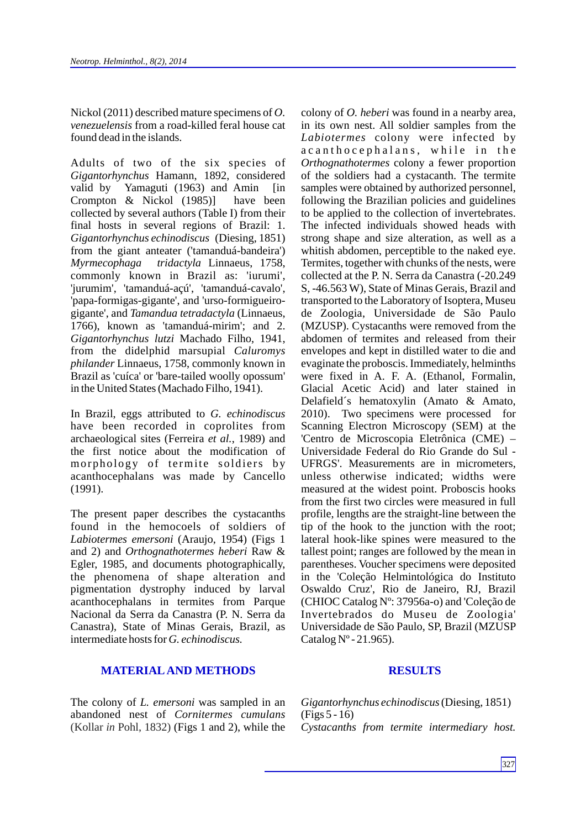Nickol (2011) described mature specimens of *O. venezuelensis* from a road-killed feral house cat found dead in the islands.

Adults of two of the six species of *Gigantorhynchus* Hamann, 1892, considered valid by Yamaguti (1963) and Amin [in Crompton & Nickol (1985)] have been collected by several authors (Table I) from their final hosts in several regions of Brazil: 1. *Gigantorhynchus echinodiscus* (Diesing, 1851) from the giant anteater ('tamanduá-bandeira') *Myrmecophaga tridactyla* Linnaeus, 1758, commonly known in Brazil as: 'iurumi', 'jurumim', 'tamanduá-açú', 'tamanduá-cavalo', 'papa-formigas-gigante', and 'urso-formigueirogigante', and *Tamandua tetradactyla* (Linnaeus, 1766), known as 'tamanduá-mirim'; and 2. *Gigantorhynchus lutzi* Machado Filho, 1941, from the didelphid marsupial *Caluromys philander* Linnaeus, 1758, commonly known in Brazil as 'cuíca' or 'bare-tailed woolly opossum' in the United States (Machado Filho, 1941).

In Brazil, eggs attributed to *G. echinodiscus* have been recorded in coprolites from archaeological sites (Ferreira *et al.*, 1989) and the first notice about the modification of morphology of termite soldiers by acanthocephalans was made by Cancello (1991).

The present paper describes the cystacanths found in the hemocoels of soldiers of *Labiotermes emersoni* (Araujo, 1954) (Figs 1 and 2) and *Orthognathotermes heberi* Raw & Egler, 1985, and documents photographically, the phenomena of shape alteration and pigmentation dystrophy induced by larval acanthocephalans in termites from Parque Nacional da Serra da Canastra (P. N. Serra da Canastra), State of Minas Gerais, Brazil, as intermediate hosts for *G. echinodiscus.*

### **MATERIALAND METHODS RESULTS**

The colony of *L. emersoni* was sampled in an abandoned nest of *Cornitermes cumulans* (Kollar *in* Pohl, 1832) (Figs 1 and 2), while the colony of *O. heberi* was found in a nearby area, in its own nest. All soldier samples from the *Labiotermes* colony were infected by a c a n tho c e phalans, while in the *Orthognathotermes* colony a fewer proportion of the soldiers had a cystacanth. The termite samples were obtained by authorized personnel, following the Brazilian policies and guidelines to be applied to the collection of invertebrates. The infected individuals showed heads with strong shape and size alteration, as well as a whitish abdomen, perceptible to the naked eye. Termites, together with chunks of the nests, were collected at the P. N. Serra da Canastra (-20.249 S, -46.563 W), State of Minas Gerais, Brazil and transported to the Laboratory of Isoptera, Museu de Zoologia, Universidade de São Paulo (MZUSP). Cystacanths were removed from the abdomen of termites and released from their envelopes and kept in distilled water to die and evaginate the proboscis. Immediately, helminths were fixed in A. F. A. (Ethanol, Formalin, Glacial Acetic Acid) and later stained in Delafield´s hematoxylin (Amato & Amato, 2010). Two specimens were processed for Scanning Electron Microscopy (SEM) at the 'Centro de Microscopia Eletrônica (CME) – Universidade Federal do Rio Grande do Sul - UFRGS'. Measurements are in micrometers, unless otherwise indicated; widths were measured at the widest point. Proboscis hooks from the first two circles were measured in full profile, lengths are the straight-line between the tip of the hook to the junction with the root; lateral hook-like spines were measured to the tallest point; ranges are followed by the mean in parentheses. Voucher specimens were deposited in the 'Coleção Helmintológica do Instituto Oswaldo Cruz', Rio de Janeiro, RJ, Brazil (CHIOC Catalog Nº: 37956a-o) and 'Coleção de Invertebrados do Museu de Zoologia' Universidade de São Paulo, SP, Brazil (MZUSP Catalog  $N^{\circ}$  - 21.965).

*Gigantorhynchus echinodiscus*(Diesing, 1851) (Figs 5 - 16) *Cystacanths from termite intermediary host.*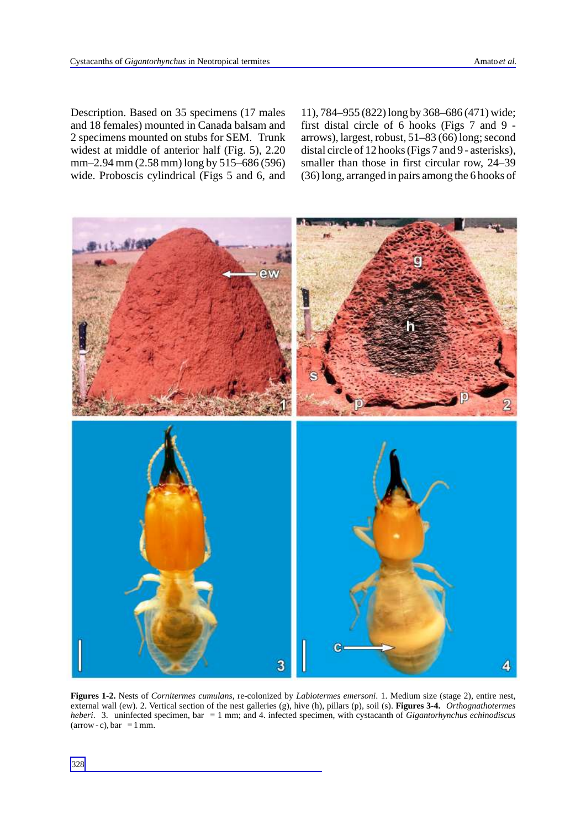Description. Based on 35 specimens (17 males and 18 females) mounted in Canada balsam and 2 specimens mounted on stubs for SEM. Trunk widest at middle of anterior half (Fig. 5), 2.20 mm–2.94 mm (2.58 mm) long by 515–686 (596) wide. Proboscis cylindrical (Figs 5 and 6, and 11), 784–955 (822) long by 368–686 (471) wide; first distal circle of 6 hooks (Figs 7 and 9 arrows), largest, robust, 51–83 (66) long; second distal circle of 12 hooks (Figs 7 and 9 - asterisks), smaller than those in first circular row, 24–39 (36) long, arranged in pairs among the 6 hooks of



**Figures 1-2.** Nests of *Cornitermes cumulans*, re-colonized by *Labiotermes emersoni*. 1. Medium size (stage 2), entire nest, external wall (ew). 2. Vertical section of the nest galleries (g), hive (h), pillars (p), soil (s). **Figures 3-4.** *Orthognathotermes heberi*. 3. uninfected specimen, bar = 1 mm; and 4. infected specimen, with cystacanth of *Gigantorhynchus echinodiscus*  $(arrow - c)$ , bar = 1 mm.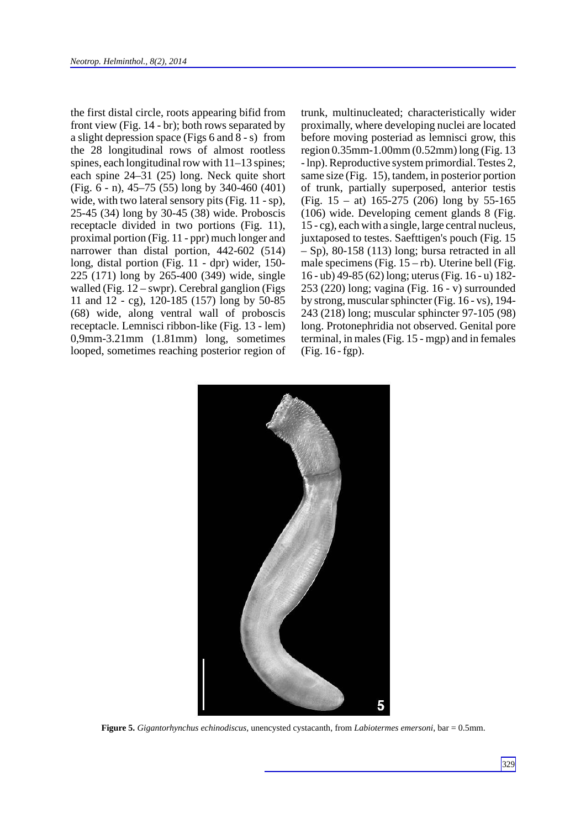the first distal circle, roots appearing bifid from front view (Fig. 14 - br); both rows separated by a slight depression space (Figs 6 and 8 - s) from the 28 longitudinal rows of almost rootless spines, each longitudinal row with 11–13 spines; each spine 24–31 (25) long. Neck quite short (Fig. 6 - n), 45–75 (55) long by 340-460 (401) wide, with two lateral sensory pits (Fig. 11 - sp), 25-45 (34) long by 30-45 (38) wide. Proboscis receptacle divided in two portions (Fig. 11), proximal portion (Fig. 11 - ppr) much longer and narrower than distal portion, 442-602 (514) long, distal portion (Fig. 11 - dpr) wider, 150- 225 (171) long by 265-400 (349) wide, single walled (Fig.  $12$  – swpr). Cerebral ganglion (Figs 11 and 12 - cg), 120-185 (157) long by 50-85 (68) wide, along ventral wall of proboscis receptacle. Lemnisci ribbon-like (Fig. 13 - lem) 0,9mm-3.21mm (1.81mm) long, sometimes looped, sometimes reaching posterior region of trunk, multinucleated; characteristically wider proximally, where developing nuclei are located before moving posteriad as lemnisci grow, this region 0.35mm-1.00mm (0.52mm) long (Fig. 13 - lnp). Reproductive system primordial. Testes 2, same size (Fig. 15), tandem, in posterior portion of trunk, partially superposed, anterior testis (Fig. 15 – at) 165-275 (206) long by 55-165 (106) wide. Developing cement glands 8 (Fig. 15 - cg), each with a single, large central nucleus, juxtaposed to testes. Saefttigen's pouch (Fig. 15 – Sp), 80-158 (113) long; bursa retracted in all male specimens (Fig.  $15 - rb$ ). Uterine bell (Fig. 16 - ub) 49-85 (62) long; uterus (Fig. 16 - u) 182- 253 (220) long; vagina (Fig. 16 - v) surrounded by strong, muscular sphincter (Fig. 16 - vs), 194- 243 (218) long; muscular sphincter 97-105 (98) long. Protonephridia not observed. Genital pore terminal, in males (Fig. 15 - mgp) and in females (Fig. 16 - fgp).



**Figure 5.** *Gigantorhynchus echinodiscus*, unencysted cystacanth, from *Labiotermes emersoni*, bar = 0.5mm.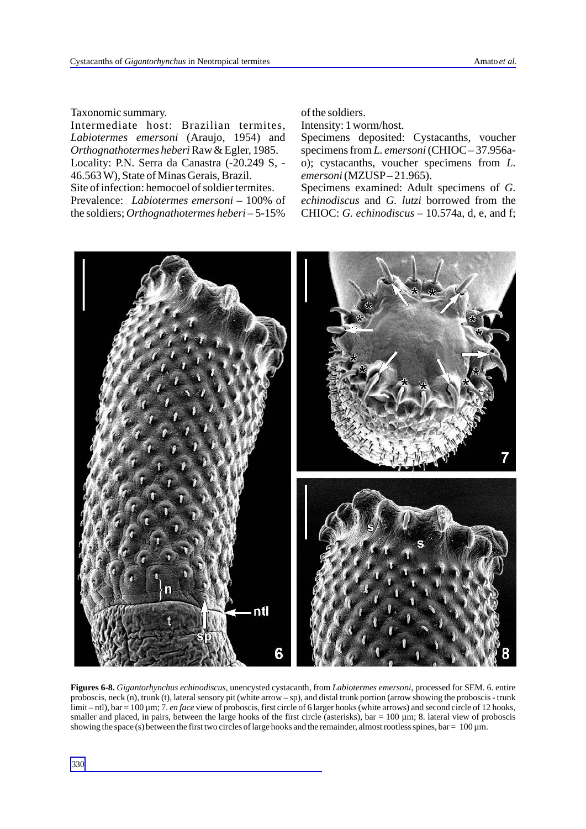Taxonomic summary.

Intermediate host: Brazilian termites, *Labiotermes emersoni* (Araujo, 1954) and *Orthognathotermes heberi* Raw & Egler, 1985. Locality: P.N. Serra da Canastra (-20.249 S, - 46.563 W), State of Minas Gerais, Brazil. Site of infection: hemocoel of soldier termites. Prevalence: *Labiotermes emersoni* – 100% of the soldiers; *Orthognathotermes heberi* – 5-15%

of the soldiers.

Intensity: 1 worm/host.

Specimens deposited: Cystacanths, voucher specimens from *L. emersoni*(CHIOC – 37.956ao); cystacanths, voucher specimens from *L. emersoni*(MZUSP– 21.965).

Specimens examined: Adult specimens of *G. echinodiscus* and *G. lutzi* borrowed from the CHIOC: *G. echinodiscus* – 10.574a, d, e, and f;



**Figures 6-8.** *Gigantorhynchus echinodiscus*, unencysted cystacanth, from *Labiotermes emersoni*, processed for SEM. 6. entire proboscis, neck (n), trunk (t), lateral sensory pit (white arrow – sp), and distal trunk portion (arrow showing the proboscis - trunk limit – ntl), bar = 100 µm; 7. *en face* view of proboscis, first circle of 6 larger hooks (white arrows) and second circle of 12 hooks, smaller and placed, in pairs, between the large hooks of the first circle (asterisks),  $bar = 100 \mu m$ ; 8. lateral view of proboscis showing the space (s) between the first two circles of large hooks and the remainder, almost rootless spines, bar =  $100 \,\mu$ m.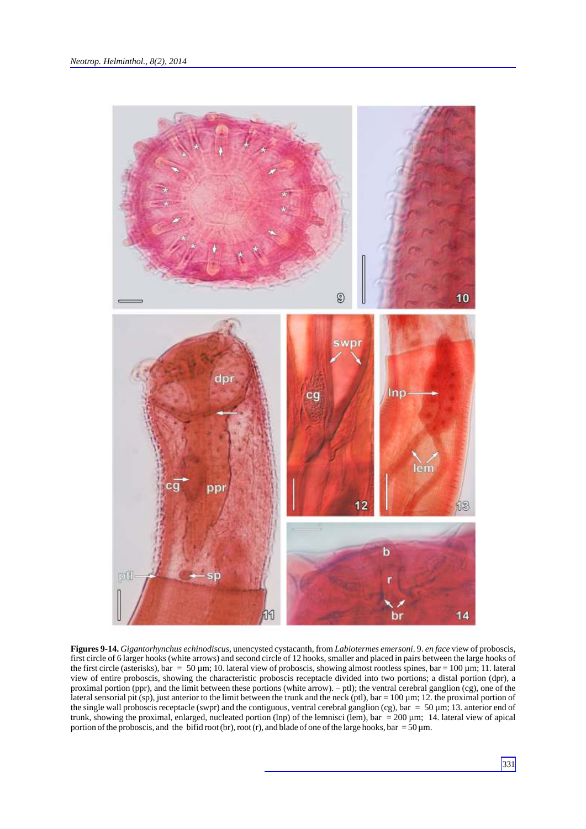

**Figures 9-14.** *Gigantorhynchus echinodiscus*, unencysted cystacanth, from *Labiotermes emersoni*. 9. *en face* view of proboscis, first circle of 6 larger hooks (white arrows) and second circle of 12 hooks, smaller and placed in pairs between the large hooks of the first circle (asterisks), bar =  $50 \mu$ m; 10. lateral view of proboscis, showing almost rootless spines, bar =  $100 \mu$ m; 11. lateral view of entire proboscis, showing the characteristic proboscis receptacle divided into two portions; a distal portion (dpr), a proximal portion (ppr), and the limit between these portions (white arrow). – ptl); the ventral cerebral ganglion (cg), one of the lateral sensorial pit (sp), just anterior to the limit between the trunk and the neck (ptl), bar =  $100 \mu m$ ; 12. the proximal portion of the single wall proboscis receptacle (swpr) and the contiguous, ventral cerebral ganglion (cg), bar =  $50 \mu m$ ; 13. anterior end of trunk, showing the proximal, enlarged, nucleated portion (lnp) of the lemnisci (lem), bar = 200  $\mu$ m; 14. lateral view of apical portion of the proboscis, and the bifid root (br), root (r), and blade of one of the large hooks, bar = 50  $\mu$ m.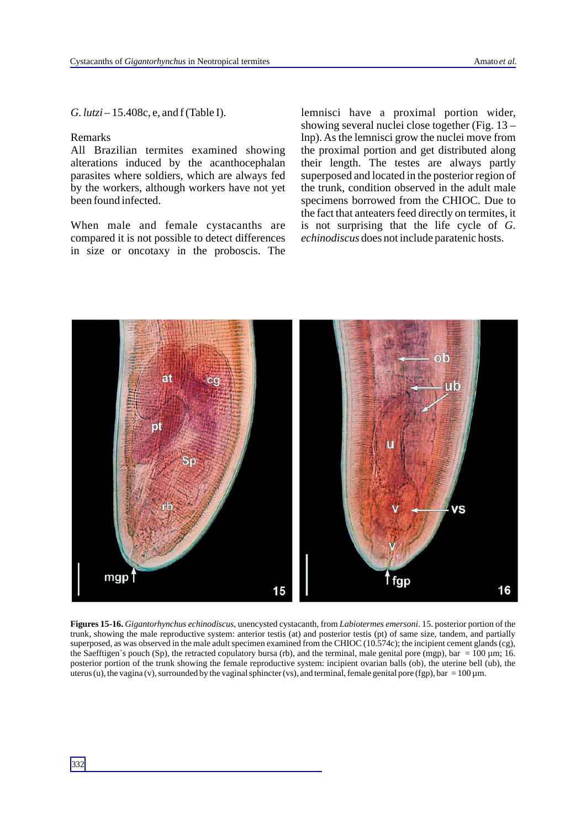*G. lutzi* – 15.408c, e, and f (Table I).

#### Remarks

All Brazilian termites examined showing alterations induced by the acanthocephalan parasites where soldiers, which are always fed by the workers, although workers have not yet been found infected.

When male and female cystacanths are compared it is not possible to detect differences in size or oncotaxy in the proboscis. The lemnisci have a proximal portion wider, showing several nuclei close together (Fig. 13 – lnp). As the lemnisci grow the nuclei move from the proximal portion and get distributed along their length. The testes are always partly superposed and located in the posterior region of the trunk, condition observed in the adult male specimens borrowed from the CHIOC. Due to the fact that anteaters feed directly on termites, it is not surprising that the life cycle of *G. echinodiscus* does not include paratenic hosts.



**Figures 15-16.** *Gigantorhynchus echinodiscus*, unencysted cystacanth, from *Labiotermes emersoni*. 15. posterior portion of the trunk, showing the male reproductive system: anterior testis (at) and posterior testis (pt) of same size, tandem, and partially superposed, as was observed in the male adult specimen examined from the CHIOC (10.574c); the incipient cement glands (cg), the Saefftigen's pouch (Sp), the retracted copulatory bursa (rb), and the terminal, male genital pore (mgp), bar =  $100 \mu m$ ; 16. posterior portion of the trunk showing the female reproductive system: incipient ovarian balls (ob), the uterine bell (ub), the uterus (u), the vagina (v), surrounded by the vaginal sphincter (vs), and terminal, female genital pore (fgp), bar =  $100 \mu$ m.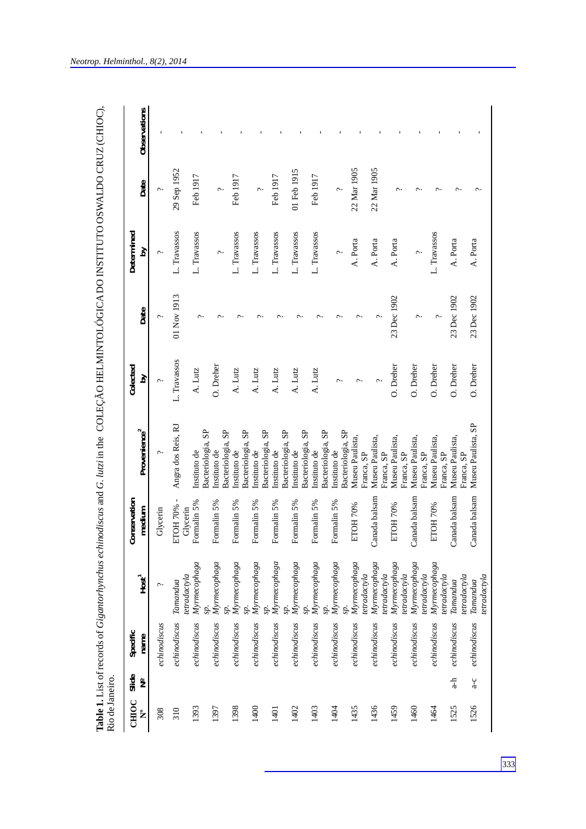| Rio de Janeiro. |                        |                  |                                              |                         |                                                        |               |                       |                     |             |              |
|-----------------|------------------------|------------------|----------------------------------------------|-------------------------|--------------------------------------------------------|---------------|-----------------------|---------------------|-------------|--------------|
| CHIOC<br>ໍ່     | Slide<br>$\frac{1}{2}$ | Specific<br>name | $Host$ <sup>1</sup>                          | Conservation<br>medium  | Provenience <sup>2</sup>                               | Colected<br>δ | Date                  | Determined<br>Σq    | Date        | Observations |
| 308             |                        | echinodiscus     | $\sim$                                       | Glycerin                |                                                        | Ç             | $\tilde{\phantom{0}}$ | $\hat{\phantom{0}}$ |             |              |
| 310             |                        | echinodiscus     | Tamandua                                     | ETOH 70% -              | Angra dos Reis, RJ                                     | L. Travassos  | 01 Nov 1913           | L. Travassos        | 29 Sep 1952 |              |
| 1393            |                        | echinodiscus     | Myrmecophaga<br>tetradactyla                 | Formalin 5%<br>Glycerin | Bacteriologia, SP<br>Instituto de                      | A. Lutz       |                       | L. Travassos        | Feb 1917    |              |
| 1397            |                        | echinodiscus     | Myrmecophaga                                 | Formalin 5%             | Bacteriologia, SP<br>Instituto de                      | O. Dreher     |                       | $\sim$              | $\sim$      |              |
| 1398            |                        | echinodiscus     | Myrmecophaga                                 | Formalin 5%             | Instituto de                                           | A. Lutz       |                       | L. Travassos        | Feb 1917    |              |
| 1400            |                        | echinodiscus     | Myrmecophaga                                 | Formalin 5%             | Bacteriologia, SP<br>Instituto de                      | A. Lutz       |                       | L. Travassos        | $\sim$      |              |
| 1401            |                        | $e$ chinodiscus  | Myrmecophaga<br>sp.                          | Formalin 5%             | Bacteriologia, SP<br>Instituto de                      | A. Lutz       |                       | L. Travassos        | Feb 1917    |              |
| 1402            |                        | echinodiscus     | Myrmecophaga<br>sp.                          | Formalin 5%             | Bacteriologia, SP<br>Instituto de                      | A. Lutz       |                       | L. Travassos        | 01 Feb 1915 |              |
| 1403            |                        | echinodiscus     | Myrmecophaga                                 | Formalin 5%             | Bacteriologia, SP<br>Bacteriologia, SP<br>Instituto de | A. Lutz       |                       | L. Travassos        | Feb 1917    |              |
| 1404            |                        | echinodiscus     | Myrmecophaga                                 | Formalin 5%             | Bacteriologia, SP<br>Instituto de                      | ç.            |                       |                     |             |              |
| 1435            |                        | echinodiscus     | Myrmecophaga<br>tetradactyla                 | ETOH 70%                | Museu Paulista,<br>Franca, SP                          |               |                       | A. Porta            | 22 Mar 1905 |              |
| 1436            |                        | echinodiscus     | Myrmecophaga<br>tetradactyla                 | Canada balsam           | Museu Paulista,<br>Franca, SP                          |               |                       | A. Porta            | 22 Mar 1905 |              |
| 1459            |                        | echinodiscus     | Myrmecophaga                                 | ETOH 70%                | Museu Paulista,<br>Franca, SP                          | O. Dreher     | 23 Dec 1902           | A. Porta            |             |              |
| 1460            |                        | echinodiscus     | Myrmecophaga<br>tetradactyla<br>tetradactyla | Canada balsam           | Museu Paulista,<br>Franca, SP                          | O. Dreher     |                       | $\sim$              |             |              |
| 1464            |                        | echinodiscus     | Myrmecophaga<br>tetradactyla                 | ETOH 70%                | Museu Paulista,<br>Franca, SP                          | O. Dreher     |                       | L. Travassos        |             |              |
| 1525            | $\frac{1}{a}$          | echinodiscus     | tetradactyla<br>Tamandua                     | Canada balsam           | Museu Paulista<br>Franca, SP                           | O. Dreher     | 23 Dec 1902           | A. Porta            |             |              |
| 1526            | $a - c$                | echinodiscus     | etradactyla<br>Tamandua                      | Canada balsam           | Museu Paulista, SP                                     | O. Dreher     | 23 Dec 1902           | A. Porta            |             |              |

*Neotrop. Helminthol., 8(2), 2014*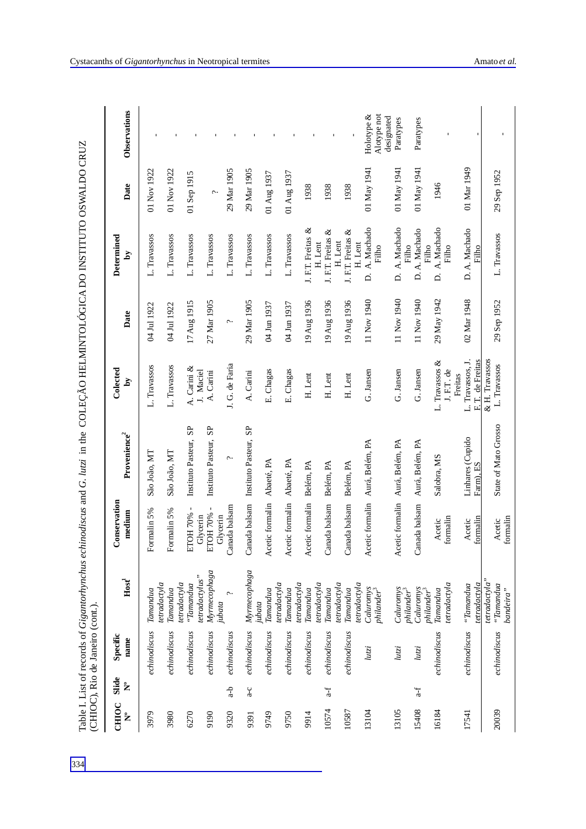| CHIOC<br>້ | Slide<br>ż | Specific<br>name | Host                                      | Conservation<br>medium     | Provenience <sup>2</sup>            | Colected<br>δ                                   | Date        | Determined<br>ð                         | Date        | Observations                 |
|------------|------------|------------------|-------------------------------------------|----------------------------|-------------------------------------|-------------------------------------------------|-------------|-----------------------------------------|-------------|------------------------------|
| 3979       |            | echinodiscus     | Tamandua                                  | Formalin 5%                | São João, MT                        | L. Travassos                                    | 04 Jul 1922 | L. Travassos                            | 01 Nov 1922 |                              |
| 3980       |            | echinodiscus     | tetradactyla<br>Tamandua                  | Formalin 5%                | São João, MT                        | L. Travassos                                    | 04 Jul 1922 | L. Travassos                            | 01 Nov 1922 |                              |
| 6270       |            | echinodiscus     | tetradactyla<br>"Tamandua"                | $\mathbf I$<br>ETOH 70%    | Instituto Pasteur, SP               | A. Carini &                                     | 17 Aug 1915 | L. Travassos                            | 01 Sep 1915 |                              |
| 9190       |            | echinodiscus     | Myrmecophaga<br>tetradactylus"            | ETOH 70%<br>Glycerin       | Instituto Pasteur, SP               | J. Maciel<br>A. Carini                          | 27 Mar 1905 | L. Travassos                            | ç.          |                              |
| 9320       | $d-a$      | echinodiscus     | Ç<br>jubata                               | Canada balsam<br>Glycerin  | $\sim$                              | J. G. de Faria                                  | ç.          | L. Travassos                            | 29 Mar 1905 |                              |
| 9391       | $3-6$      | echinodiscus     | Myrmecophaga                              |                            | Canada balsam Instituto Pasteur, SP | A. Carini                                       | 29 Mar 1905 | L. Travassos                            | 29 Mar 1905 |                              |
| 9749       |            | echinodiscus     | Tamandua<br>jubata                        | Acetic formalin Abaeté, PA |                                     | E. Chagas                                       | 04 Jun 1937 | L. Travassos                            | 01 Aug 1937 |                              |
| 9750       |            | echinodiscus     | tetradactyla<br>Tamandua                  | Acetic formalin Abaeté, PA |                                     | E. Chagas                                       | 04 Jun 1937 | L. Travassos                            | 01 Aug 1937 |                              |
| 9914       |            | echinodiscus     | tetradactyla<br>Tamandua                  | Acetic formalin            | Belém, PA                           | H. Lent                                         | 19 Aug 1936 | J. F.T. Freitas &                       | 1938        |                              |
| 10574      | $a-f$      | echinodiscus     | etradactyla<br>Tamandua                   | Canada balsam              | Belém, PA                           | H. Lent                                         | 19 Aug 1936 | ళ<br>J. F.T. Freitas<br>H. Lent         | 1938        |                              |
| 10587      |            | echinodiscus     | tetradactyla<br>Tamandua                  | Canada balsam              | Belém, PA                           | H. Lent                                         | 19 Aug 1936 | J. F.T. Freitas &<br>H. Lent<br>H. Lent | 1938        |                              |
| 13104      |            | lutzi            | tetradactyla<br>Caluromys<br>$philander3$ |                            | Acetic formalin Aurá, Belém, PA     | G. Jansen                                       | 11 Nov 1940 | D. A. Machado<br>Filho                  | 01 May 1941 | Holotype $\&$<br>Alotype not |
| 13105      |            | lutzi            | Caluronvs<br>philander <sup>3</sup>       |                            | Acetic formalin Aurá, Belém, PA     | G. Jansen                                       | 11 Nov 1940 | D. A. Machado<br>Filho                  | 01 May 1941 | designated<br>Paratypes      |
| 15408      | $a-f$      | lutzi            | Caluronys<br>philander <sup>3</sup>       | Canada balsam              | Aurá, Belém, PA                     | G. Jansen                                       | 11 Nov 1940 | D.A. Machado<br>Filho                   | 01 May 1941 | Paratypes                    |
| 16184      |            | echinodiscus     | tetradactyla<br>Tamandua                  | formalin<br>Acetic         | Salobra, MS                         | L. Travassos &<br>J.F.T. de                     | 29 May 1942 | D. A. Machado<br>Filho                  | 1946        |                              |
| 17541      |            | echinodiscus     | tetradactyla<br>"Tamandua                 | formalin<br>Acetic         | Linhares (Cupido<br>Farm), ES       | L. Travassos, J.<br>F. T. de Freitas<br>Freitas | 02 Mar 1948 | D.A. Machado<br>Filho                   | 01 Mar 1949 |                              |
| 20039      |            | echinodiscus     | tetradactyla"<br>"Tannanda<br>bandeira"   | formalin<br>Acetic         | State of Mato Grosso                | & H. Travassos<br>L. Travassos                  | 29 Sep 1952 | L. Travassos                            | 29 Sep 1952 |                              |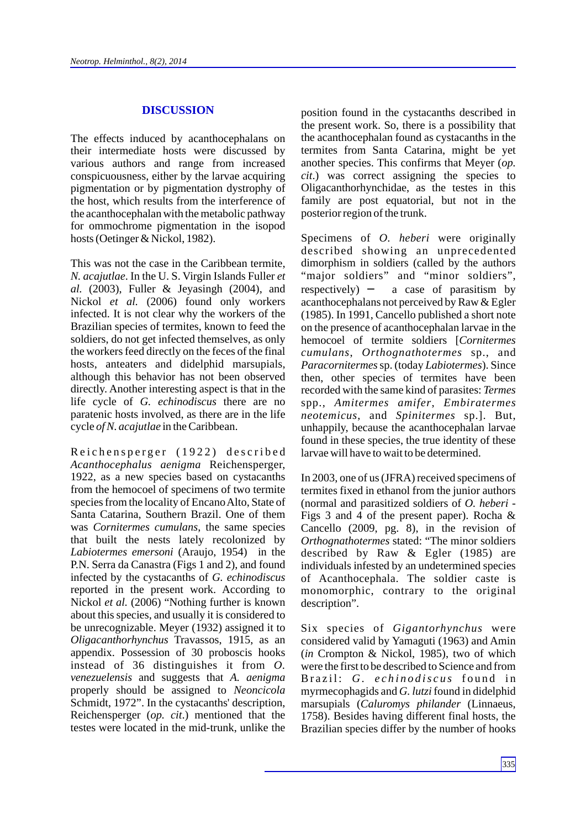#### **DISCUSSION**

The effects induced by acanthocephalans on their intermediate hosts were discussed by various authors and range from increased conspicuousness, either by the larvae acquiring pigmentation or by pigmentation dystrophy of the host, which results from the interference of the acanthocephalan with the metabolic pathway for ommochrome pigmentation in the isopod hosts (Oetinger & Nickol, 1982).

This was not the case in the Caribbean termite, *N. acajutlae*. In the U. S. Virgin Islands Fuller *et al.* (2003), Fuller & Jeyasingh (2004), and Nickol *et al.* (2006) found only workers infected. It is not clear why the workers of the Brazilian species of termites, known to feed the soldiers, do not get infected themselves, as only the workers feed directly on the feces of the final hosts, anteaters and didelphid marsupials, although this behavior has not been observed directly. Another interesting aspect is that in the life cycle of *G. echinodiscus* there are no paratenic hosts involved, as there are in the life cycle *of N. acajutlae* in the Caribbean.

Reichensperger (1922) described *Acanthocephalus aenigma* Reichensperger, 1922, as a new species based on cystacanths from the hemocoel of specimens of two termite species from the locality of Encano Alto, State of Santa Catarina, Southern Brazil. One of them was *Cornitermes cumulans*, the same species that built the nests lately recolonized by *Labiotermes emersoni* (Araujo, 1954) in the P.N. Serra da Canastra (Figs 1 and 2), and found infected by the cystacanths of *G. echinodiscus* reported in the present work. According to Nickol *et al.* (2006) "Nothing further is known about this species, and usually it is considered to be unrecognizable. Meyer (1932) assigned it to *Oligacanthorhynchus* Travassos, 1915, as an appendix. Possession of 30 proboscis hooks instead of 36 distinguishes it from *O. venezuelensis* and suggests that *A. aenigma* properly should be assigned to *Neoncicola* Schmidt, 1972". In the cystacanths' description, Reichensperger (*op. cit*.) mentioned that the testes were located in the mid-trunk, unlike the

position found in the cystacanths described in the present work. So, there is a possibility that the acanthocephalan found as cystacanths in the termites from Santa Catarina, might be yet another species. This confirms that Meyer (*op. cit*.) was correct assigning the species to Oligacanthorhynchidae, as the testes in this family are post equatorial, but not in the posterior region of the trunk.

Specimens of *O. heberi* were originally described showing an unprecedented dimorphism in soldiers (called by the authors "major soldiers" and "minor soldiers", respectively) a case of parasitism by acanthocephalans not perceived by Raw & Egler (1985). In 1991, Cancello published a short note on the presence of acanthocephalan larvae in the hemocoel of termite soldiers [*Cornitermes cumulans*, *Orthognathotermes* sp., and *Paracornitermes*sp. (today *Labiotermes*). Since then, other species of termites have been recorded with the same kind of parasites: *Termes* spp., *Amitermes amifer*, *Embiratermes neotemicus*, and *Spinitermes* sp.]. But, unhappily, because the acanthocephalan larvae found in these species, the true identity of these larvae will have to wait to be determined.

In 2003, one of us (JFRA) received specimens of termites fixed in ethanol from the junior authors (normal and parasitized soldiers of *O. heberi* - Figs 3 and 4 of the present paper). Rocha & Cancello (2009, pg. 8), in the revision of *Orthognathotermes* stated: "The minor soldiers described by Raw & Egler (1985) are individuals infested by an undetermined species of Acanthocephala. The soldier caste is monomorphic, contrary to the original description".

Six species of *Gigantorhynchus* were considered valid by Yamaguti (1963) and Amin (*in* Crompton & Nickol, 1985), two of which were the first to be described to Science and from Brazil: G. echinodiscus found in myrmecophagids and *G. lutzi* found in didelphid marsupials (*Caluromys philander* (Linnaeus, 1758). Besides having different final hosts, the Brazilian species differ by the number of hooks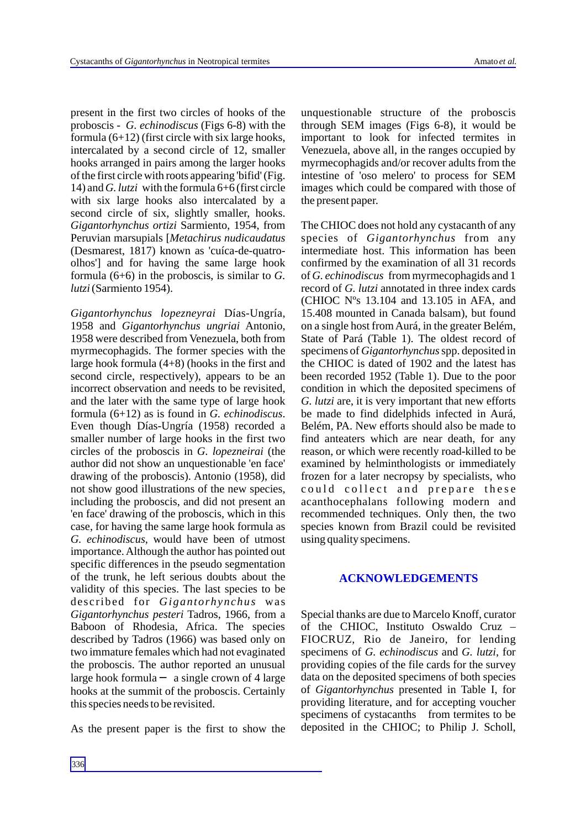present in the first two circles of hooks of the proboscis - *G. echinodiscus* (Figs 6-8) with the formula (6+12) (first circle with six large hooks, intercalated by a second circle of 12, smaller hooks arranged in pairs among the larger hooks of the first circle with roots appearing 'bifid' (Fig. 14) and *G. lutzi* with the formula 6+6 (first circle with six large hooks also intercalated by a second circle of six, slightly smaller, hooks. *Gigantorhynchus ortizi* Sarmiento, 1954, from Peruvian marsupials [*Metachirus nudicaudatus* (Desmarest, 1817) known as 'cuíca-de-quatroolhos'] and for having the same large hook formula (6+6) in the proboscis, is similar to *G. lutzi* (Sarmiento 1954).

*Gigantorhynchus lopezneyrai* Días-Ungría, 1958 and *Gigantorhynchus ungriai* Antonio, 1958 were described from Venezuela, both from myrmecophagids. The former species with the large hook formula (4+8) (hooks in the first and second circle, respectively), appears to be an incorrect observation and needs to be revisited, and the later with the same type of large hook formula (6+12) as is found in *G. echinodiscus*. Even though Días-Ungría (1958) recorded a smaller number of large hooks in the first two circles of the proboscis in *G. lopezneirai* (the author did not show an unquestionable 'en face' drawing of the proboscis). Antonio (1958), did not show good illustrations of the new species, including the proboscis, and did not present an 'en face' drawing of the proboscis, which in this case, for having the same large hook formula as *G. echinodiscus*, would have been of utmost importance. Although the author has pointed out specific differences in the pseudo segmentation of the trunk, he left serious doubts about the validity of this species. The last species to be described for *Gigantorhynchus* was *Gigantorhynchus pesteri* Tadros, 1966, from a Baboon of Rhodesia, Africa. The species described by Tadros (1966) was based only on two immature females which had not evaginated the proboscis. The author reported an unusual large hook formula a single crown of 4 large hooks at the summit of the proboscis. Certainly this species needs to be revisited.

As the present paper is the first to show the

unquestionable structure of the proboscis through SEM images (Figs 6-8), it would be important to look for infected termites in Venezuela, above all, in the ranges occupied by myrmecophagids and/or recover adults from the intestine of 'oso melero' to process for SEM images which could be compared with those of the present paper.

The CHIOC does not hold any cystacanth of any species of *Gigantorhynchus* from any intermediate host. This information has been confirmed by the examination of all 31 records of *G. echinodiscus* from myrmecophagids and 1 record of *G. lutzi* annotated in three index cards (CHIOC Nºs 13.104 and 13.105 in AFA, and 15.408 mounted in Canada balsam), but found on a single host from Aurá, in the greater Belém, State of Pará (Table 1). The oldest record of specimens of *Gigantorhynchus*spp. deposited in the CHIOC is dated of 1902 and the latest has been recorded 1952 (Table 1). Due to the poor condition in which the deposited specimens of *G. lutzi* are, it is very important that new efforts be made to find didelphids infected in Aurá, Belém, PA. New efforts should also be made to find anteaters which are near death, for any reason, or which were recently road-killed to be examined by helminthologists or immediately frozen for a later necropsy by specialists, who could collect and prepare these acanthocephalans following modern and recommended techniques. Only then, the two species known from Brazil could be revisited using quality specimens.

### **ACKNOWLEDGEMENTS**

Special thanks are due to Marcelo Knoff, curator of the CHIOC, Instituto Oswaldo Cruz – FIOCRUZ, Rio de Janeiro, for lending specimens of *G. echinodiscus* and *G. lutzi*, for providing copies of the file cards for the survey data on the deposited specimens of both species of *Gigantorhynchus* presented in Table I, for providing literature, and for accepting voucher specimens of cystacanths from termites to be deposited in the CHIOC; to Philip J. Scholl,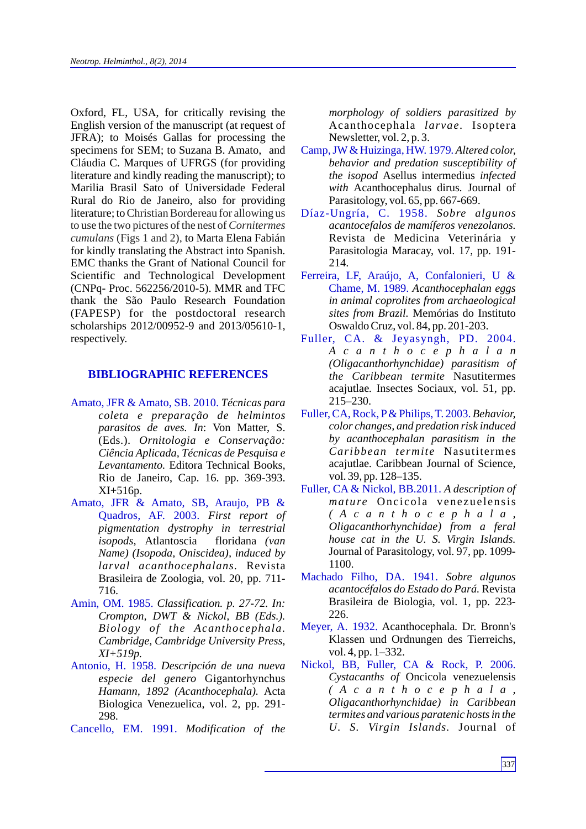Oxford, FL, USA, for critically revising the English version of the manuscript (at request of JFRA); to Moisés Gallas for processing the specimens for SEM; to Suzana B. Amato, and Cláudia C. Marques of UFRGS (for providing literature and kindly reading the manuscript); to Marilia Brasil Sato of Universidade Federal Rural do Rio de Janeiro, also for providing literature; to Christian Bordereau for allowing us cumulans (Figs 1 and 2), to Marta Elena Fabián for kindly translating the Abstract into Spanish. EMC thanks the Grant of National Council for Scientific and Technological Development (CNPq- Proc. 562256/2010-5). MMR and TFC thank the São Paulo Research Foundation (FAPESP) for the postdoctoral research scholarships 2012/00952-9 and 2013/05610-1, respectively. to use the two pictures of the nest of *Cornitermes* 

### **BIBLIOGRAPHIC REFERENCES**

- Amato, JFR & Amato, SB. 2010. *Técnicas para coleta e preparação de helmintos parasitos de aves. In*: Von Matter, S. (Eds.). *Ornitologia e Conservação: Ciência Aplicada, Técnicas de Pesquisa e Levantamento.* Editora Technical Books, Rio de Janeiro, Cap. 16. pp. 369-393. XI+516p.
- Amato, JFR & Amato, SB, Araujo, PB & Quadros, AF. 2003. *First report of pigmentation dystrophy in terrestrial isopods,* Atlantoscia floridana *(van Name) (Isopoda, Oniscidea), induced by larval acanthocephalans.* Revista Brasileira de Zoologia, vol. 20, pp. 711- 716.
- Amin, OM. 1985. *Classification. p. 27-72. In: Crompton, DWT & Nickol, BB (Eds.). Biology of the Acanthocephala. Cambridge, Cambridge University Press, XI+519p.*
- Antonio, H. 1958. *Descripción de una nueva especie del genero* Gigantorhynchus *Hamann, 1892 (Acanthocephala).* Acta Biologica Venezuelica, vol. 2, pp. 291- 298.
- Cancello, EM. 1991. *Modification of the*

*morphology of soldiers parasitized by*  Acanthocephala *larvae.* Isoptera Newsletter, vol. 2, p. 3.

- Camp, JW & Huizinga, HW. 1979. Altered color, *behavior and predation susceptibility of the isopod* Asellus intermedius *infected with* Acanthocephalus dirus*.* Journal of Parasitology, vol. 65, pp. 667-669.
- *Sobre algunos* Díaz-Ungría, C. 1958. *acantocefalos de mamíferos venezolanos.* Revista de Medicina Veterinária y Parasitologia Maracay, vol. 17, pp. 191- 214.
- Chame, M. 1989. Acanthocephalan eggs *in animal coprolites from archaeological sites from Brazil.* Memórias do Instituto Oswaldo Cruz, vol. 84, pp. 201-203. Ferreira, LF, Araújo, A, Confalonieri, U &
- *A c a n t h o c e p h a l a n (Oligacanthorhynchidae) parasitism of the Caribbean termite* Nasutitermes acajutlae*.* Insectes Sociaux, vol. 51, pp. 215–230. Fuller, CA. & Jeyasyngh, PD. 2004.
- Fuller, CA, Rock, P & Philips, T. 2003. Behavior, *color changes, and predation risk induced by acanthocephalan parasitism in the Caribbean termite* Nasutitermes acajutlae*.* Caribbean Journal of Science, vol. 39, pp. 128–135.
- Fuller, CA & Nickol, BB.2011. A description of *mature* Oncicola venezuelensis *( A c a n t h o c e p h a l a , Oligacanthorhynchidae) from a feral house cat in the U. S. Virgin Islands.* Journal of Parasitology, vol. 97, pp. 1099- 1100.
- *Sobre algunos*  Machado Filho, DA. 1941. *acantocéfalos do Estado do Pará.* Revista Brasileira de Biologia, vol. 1, pp. 223- 226.
- Meyer, A. 1932. Acanthocephala. Dr. Bronn's Klassen und Ordnungen des Tierreichs, vol. 4, pp. 1–332.
- *Cystacanths of* Oncicola venezuelensis *( A c a n t h o c e p h a l a , Oligacanthorhynchidae) in Caribbean termites and various paratenic hosts in the U. S. Virgin Islands.* Journal of Nickol, BB, Fuller, CA & Rock, P. 2006.